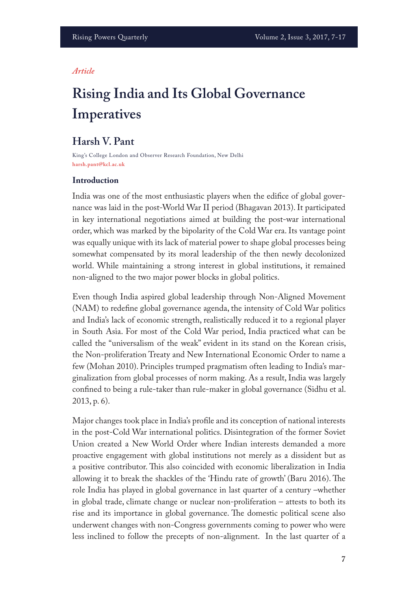#### *Article*

# **Rising India and Its Global Governance Imperatives**

# **Harsh V. Pant**

King's College London and Observer Research Foundation, New Delhi **harsh.pant@kcl.ac.uk**

### **Introduction**

India was one of the most enthusiastic players when the edifce of global governance was laid in the post-World War II period (Bhagavan 2013). It participated in key international negotiations aimed at building the post-war international order, which was marked by the bipolarity of the Cold War era. Its vantage point was equally unique with its lack of material power to shape global processes being somewhat compensated by its moral leadership of the then newly decolonized world. While maintaining a strong interest in global institutions, it remained non-aligned to the two major power blocks in global politics.

Even though India aspired global leadership through Non-Aligned Movement (NAM) to redefne global governance agenda, the intensity of Cold War politics and India's lack of economic strength, realistically reduced it to a regional player in South Asia. For most of the Cold War period, India practiced what can be called the "universalism of the weak" evident in its stand on the Korean crisis, the Non-proliferation Treaty and New International Economic Order to name a few (Mohan 2010). Principles trumped pragmatism often leading to India's marginalization from global processes of norm making. As a result, India was largely confned to being a rule-taker than rule-maker in global governance (Sidhu et al. 2013, p. 6).

Major changes took place in India's profle and its conception of national interests in the post-Cold War international politics. Disintegration of the former Soviet Union created a New World Order where Indian interests demanded a more proactive engagement with global institutions not merely as a dissident but as a positive contributor. This also coincided with economic liberalization in India allowing it to break the shackles of the 'Hindu rate of growth' (Baru 2016). The role India has played in global governance in last quarter of a century –whether in global trade, climate change or nuclear non-proliferation – attests to both its rise and its importance in global governance. The domestic political scene also underwent changes with non-Congress governments coming to power who were less inclined to follow the precepts of non-alignment. In the last quarter of a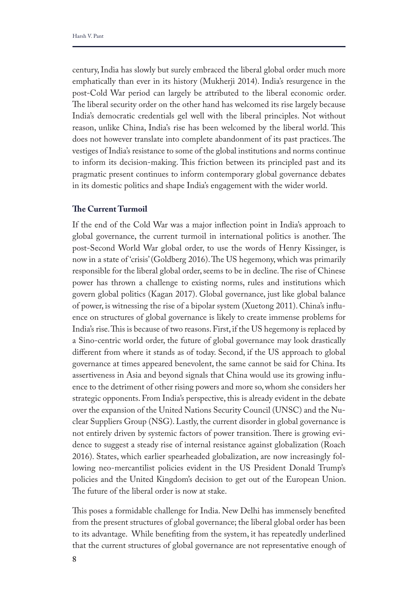century, India has slowly but surely embraced the liberal global order much more emphatically than ever in its history (Mukherji 2014). India's resurgence in the post-Cold War period can largely be attributed to the liberal economic order. The liberal security order on the other hand has welcomed its rise largely because India's democratic credentials gel well with the liberal principles. Not without reason, unlike China, India's rise has been welcomed by the liberal world. This does not however translate into complete abandonment of its past practices. The vestiges of India's resistance to some of the global institutions and norms continue to inform its decision-making. This friction between its principled past and its pragmatic present continues to inform contemporary global governance debates in its domestic politics and shape India's engagement with the wider world.

### **Te Current Turmoil**

If the end of the Cold War was a major infection point in India's approach to global governance, the current turmoil in international politics is another. The post-Second World War global order, to use the words of Henry Kissinger, is now in a state of 'crisis' (Goldberg 2016). The US hegemony, which was primarily responsible for the liberal global order, seems to be in decline. The rise of Chinese power has thrown a challenge to existing norms, rules and institutions which govern global politics (Kagan 2017). Global governance, just like global balance of power, is witnessing the rise of a bipolar system (Xuetong 2011). China's infuence on structures of global governance is likely to create immense problems for India's rise. This is because of two reasons. First, if the US hegemony is replaced by a Sino-centric world order, the future of global governance may look drastically diferent from where it stands as of today. Second, if the US approach to global governance at times appeared benevolent, the same cannot be said for China. Its assertiveness in Asia and beyond signals that China would use its growing infuence to the detriment of other rising powers and more so, whom she considers her strategic opponents. From India's perspective, this is already evident in the debate over the expansion of the United Nations Security Council (UNSC) and the Nuclear Suppliers Group (NSG). Lastly, the current disorder in global governance is not entirely driven by systemic factors of power transition. There is growing evidence to suggest a steady rise of internal resistance against globalization (Roach 2016). States, which earlier spearheaded globalization, are now increasingly following neo-mercantilist policies evident in the US President Donald Trump's policies and the United Kingdom's decision to get out of the European Union. The future of the liberal order is now at stake.

This poses a formidable challenge for India. New Delhi has immensely benefited from the present structures of global governance; the liberal global order has been to its advantage. While benefting from the system, it has repeatedly underlined that the current structures of global governance are not representative enough of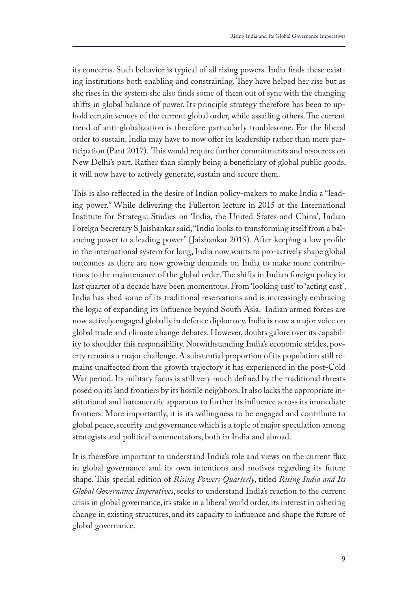its concerns. Such behavior is typical of all rising powers. India fnds these existing institutions both enabling and constraining. They have helped her rise but as she rises in the system she also fnds some of them out of sync with the changing shifts in global balance of power. Its principle strategy therefore has been to uphold certain venues of the current global order, while assailing others. The current trend of anti-globalization is therefore particularly troublesome. For the liberal order to sustain, India may have to now offer its leadership rather than mere participation (Pant 2017). This would require further commitments and resources on New Delhi's part. Rather than simply being a beneficiary of global public goods, it will now have to actively generate, sustain and secure them.

This is also reflected in the desire of Indian policy-makers to make India a "leading power." While delivering the Fullerton lecture in 2015 at the International Institute for Strategic Studies on 'India, the United States and China', Indian Foreign Secretary S Jaishankar said, "India looks to transforming itself from a balancing power to a leading power" ( Jaishankar 2015). After keeping a low profle in the international system for long, India now wants to pro-actively shape global outcomes as there are now growing demands on India to make more contributions to the maintenance of the global order. The shifts in Indian foreign policy in last quarter of a decade have been momentous. From 'looking east' to 'acting east', India has shed some of its traditional reservations and is increasingly embracing the logic of expanding its infuence beyond South Asia. Indian armed forces are now actively engaged globally in defence diplomacy. India is now a major voice on global trade and climate change debates. However, doubts galore over its capability to shoulder this responsibility. Notwithstanding India's economic strides, poverty remains a major challenge. A substantial proportion of its population still remains unafected from the growth trajectory it has experienced in the post-Cold War period. Its military focus is still very much defned by the traditional threats posed on its land frontiers by its hostile neighbors. It also lacks the appropriate institutional and bureaucratic apparatus to further its infuence across its immediate frontiers. More importantly, it is its willingness to be engaged and contribute to global peace, security and governance which is a topic of major speculation among strategists and political commentators, both in India and abroad.

It is therefore important to understand India's role and views on the current fux in global governance and its own intentions and motives regarding its future shape. This special edition of *Rising Powers Quarterly*, titled *Rising India and Its Global Governance Imperatives*, seeks to understand India's reaction to the current crisis in global governance, its stake in a liberal world order, its interest in ushering change in existing structures, and its capacity to infuence and shape the future of global governance.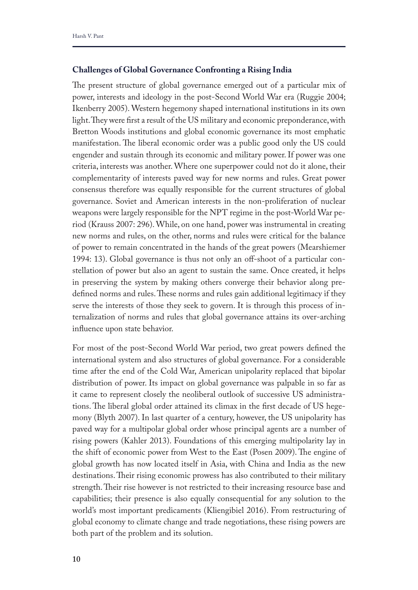# **Challenges of Global Governance Confronting a Rising India**

The present structure of global governance emerged out of a particular mix of power, interests and ideology in the post-Second World War era (Ruggie 2004; Ikenberry 2005). Western hegemony shaped international institutions in its own light. They were first a result of the US military and economic preponderance, with Bretton Woods institutions and global economic governance its most emphatic manifestation. The liberal economic order was a public good only the US could engender and sustain through its economic and military power. If power was one criteria, interests was another. Where one superpower could not do it alone, their complementarity of interests paved way for new norms and rules. Great power consensus therefore was equally responsible for the current structures of global governance. Soviet and American interests in the non-proliferation of nuclear weapons were largely responsible for the NPT regime in the post-World War period (Krauss 2007: 296). While, on one hand, power was instrumental in creating new norms and rules, on the other, norms and rules were critical for the balance of power to remain concentrated in the hands of the great powers (Mearshiemer 1994: 13). Global governance is thus not only an off-shoot of a particular constellation of power but also an agent to sustain the same. Once created, it helps in preserving the system by making others converge their behavior along predefined norms and rules. These norms and rules gain additional legitimacy if they serve the interests of those they seek to govern. It is through this process of internalization of norms and rules that global governance attains its over-arching infuence upon state behavior.

For most of the post-Second World War period, two great powers defned the international system and also structures of global governance. For a considerable time after the end of the Cold War, American unipolarity replaced that bipolar distribution of power. Its impact on global governance was palpable in so far as it came to represent closely the neoliberal outlook of successive US administrations. The liberal global order attained its climax in the first decade of US hegemony (Blyth 2007). In last quarter of a century, however, the US unipolarity has paved way for a multipolar global order whose principal agents are a number of rising powers (Kahler 2013). Foundations of this emerging multipolarity lay in the shift of economic power from West to the East (Posen 2009). The engine of global growth has now located itself in Asia, with China and India as the new destinations. Their rising economic prowess has also contributed to their military strength. Their rise however is not restricted to their increasing resource base and capabilities; their presence is also equally consequential for any solution to the world's most important predicaments (Kliengibiel 2016). From restructuring of global economy to climate change and trade negotiations, these rising powers are both part of the problem and its solution.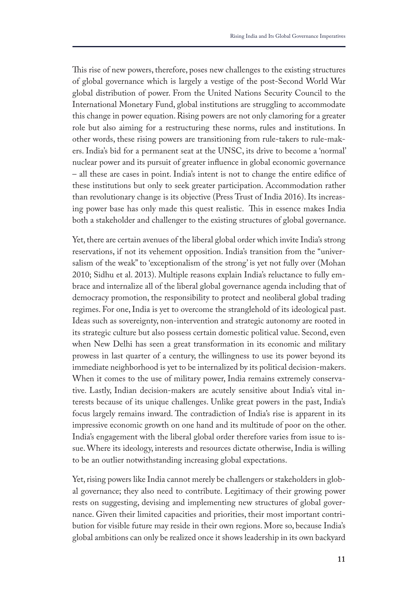This rise of new powers, therefore, poses new challenges to the existing structures of global governance which is largely a vestige of the post-Second World War global distribution of power. From the United Nations Security Council to the International Monetary Fund, global institutions are struggling to accommodate this change in power equation. Rising powers are not only clamoring for a greater role but also aiming for a restructuring these norms, rules and institutions. In other words, these rising powers are transitioning from rule-takers to rule-makers. India's bid for a permanent seat at the UNSC, its drive to become a 'normal' nuclear power and its pursuit of greater infuence in global economic governance – all these are cases in point. India's intent is not to change the entire edifce of these institutions but only to seek greater participation. Accommodation rather than revolutionary change is its objective (Press Trust of India 2016). Its increasing power base has only made this quest realistic. This in essence makes India both a stakeholder and challenger to the existing structures of global governance.

Yet, there are certain avenues of the liberal global order which invite India's strong reservations, if not its vehement opposition. India's transition from the "universalism of the weak" to 'exceptionalism of the strong' is yet not fully over (Mohan 2010; Sidhu et al. 2013). Multiple reasons explain India's reluctance to fully embrace and internalize all of the liberal global governance agenda including that of democracy promotion, the responsibility to protect and neoliberal global trading regimes. For one, India is yet to overcome the stranglehold of its ideological past. Ideas such as sovereignty, non-intervention and strategic autonomy are rooted in its strategic culture but also possess certain domestic political value. Second, even when New Delhi has seen a great transformation in its economic and military prowess in last quarter of a century, the willingness to use its power beyond its immediate neighborhood is yet to be internalized by its political decision-makers. When it comes to the use of military power, India remains extremely conservative. Lastly, Indian decision-makers are acutely sensitive about India's vital interests because of its unique challenges. Unlike great powers in the past, India's focus largely remains inward. The contradiction of India's rise is apparent in its impressive economic growth on one hand and its multitude of poor on the other. India's engagement with the liberal global order therefore varies from issue to issue. Where its ideology, interests and resources dictate otherwise, India is willing to be an outlier notwithstanding increasing global expectations.

Yet, rising powers like India cannot merely be challengers or stakeholders in global governance; they also need to contribute. Legitimacy of their growing power rests on suggesting, devising and implementing new structures of global governance. Given their limited capacities and priorities, their most important contribution for visible future may reside in their own regions. More so, because India's global ambitions can only be realized once it shows leadership in its own backyard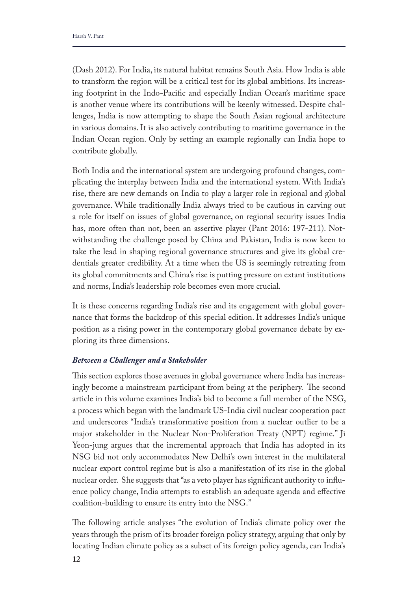(Dash 2012). For India, its natural habitat remains South Asia. How India is able to transform the region will be a critical test for its global ambitions. Its increasing footprint in the Indo-Pacifc and especially Indian Ocean's maritime space is another venue where its contributions will be keenly witnessed. Despite challenges, India is now attempting to shape the South Asian regional architecture in various domains. It is also actively contributing to maritime governance in the Indian Ocean region. Only by setting an example regionally can India hope to contribute globally.

Both India and the international system are undergoing profound changes, complicating the interplay between India and the international system. With India's rise, there are new demands on India to play a larger role in regional and global governance. While traditionally India always tried to be cautious in carving out a role for itself on issues of global governance, on regional security issues India has, more often than not, been an assertive player (Pant 2016: 197-211). Notwithstanding the challenge posed by China and Pakistan, India is now keen to take the lead in shaping regional governance structures and give its global credentials greater credibility. At a time when the US is seemingly retreating from its global commitments and China's rise is putting pressure on extant institutions and norms, India's leadership role becomes even more crucial.

It is these concerns regarding India's rise and its engagement with global governance that forms the backdrop of this special edition. It addresses India's unique position as a rising power in the contemporary global governance debate by exploring its three dimensions.

### *Between a Challenger and a Stakeholder*

This section explores those avenues in global governance where India has increasingly become a mainstream participant from being at the periphery. The second article in this volume examines India's bid to become a full member of the NSG, a process which began with the landmark US-India civil nuclear cooperation pact and underscores "India's transformative position from a nuclear outlier to be a major stakeholder in the Nuclear Non-Proliferation Treaty (NPT) regime." Ji Yeon-jung argues that the incremental approach that India has adopted in its NSG bid not only accommodates New Delhi's own interest in the multilateral nuclear export control regime but is also a manifestation of its rise in the global nuclear order. She suggests that "as a veto player has signifcant authority to infuence policy change, India attempts to establish an adequate agenda and efective coalition-building to ensure its entry into the NSG."

The following article analyses "the evolution of India's climate policy over the years through the prism of its broader foreign policy strategy, arguing that only by locating Indian climate policy as a subset of its foreign policy agenda, can India's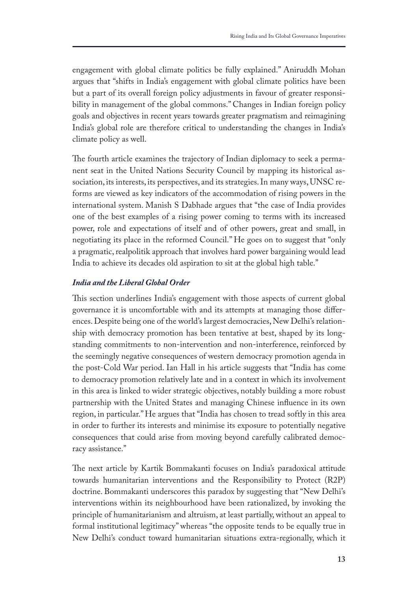engagement with global climate politics be fully explained." Aniruddh Mohan argues that "shifts in India's engagement with global climate politics have been but a part of its overall foreign policy adjustments in favour of greater responsibility in management of the global commons." Changes in Indian foreign policy goals and objectives in recent years towards greater pragmatism and reimagining India's global role are therefore critical to understanding the changes in India's climate policy as well.

The fourth article examines the trajectory of Indian diplomacy to seek a permanent seat in the United Nations Security Council by mapping its historical association, its interests, its perspectives, and its strategies. In many ways, UNSC reforms are viewed as key indicators of the accommodation of rising powers in the international system. Manish S Dabhade argues that "the case of India provides one of the best examples of a rising power coming to terms with its increased power, role and expectations of itself and of other powers, great and small, in negotiating its place in the reformed Council." He goes on to suggest that "only a pragmatic, realpolitik approach that involves hard power bargaining would lead India to achieve its decades old aspiration to sit at the global high table."

#### *India and the Liberal Global Order*

This section underlines India's engagement with those aspects of current global governance it is uncomfortable with and its attempts at managing those diferences. Despite being one of the world's largest democracies, New Delhi's relationship with democracy promotion has been tentative at best, shaped by its longstanding commitments to non-intervention and non-interference, reinforced by the seemingly negative consequences of western democracy promotion agenda in the post-Cold War period. Ian Hall in his article suggests that "India has come to democracy promotion relatively late and in a context in which its involvement in this area is linked to wider strategic objectives, notably building a more robust partnership with the United States and managing Chinese infuence in its own region, in particular." He argues that "India has chosen to tread softly in this area in order to further its interests and minimise its exposure to potentially negative consequences that could arise from moving beyond carefully calibrated democracy assistance."

The next article by Kartik Bommakanti focuses on India's paradoxical attitude towards humanitarian interventions and the Responsibility to Protect (R2P) doctrine. Bommakanti underscores this paradox by suggesting that "New Delhi's interventions within its neighbourhood have been rationalized, by invoking the principle of humanitarianism and altruism, at least partially, without an appeal to formal institutional legitimacy" whereas "the opposite tends to be equally true in New Delhi's conduct toward humanitarian situations extra-regionally, which it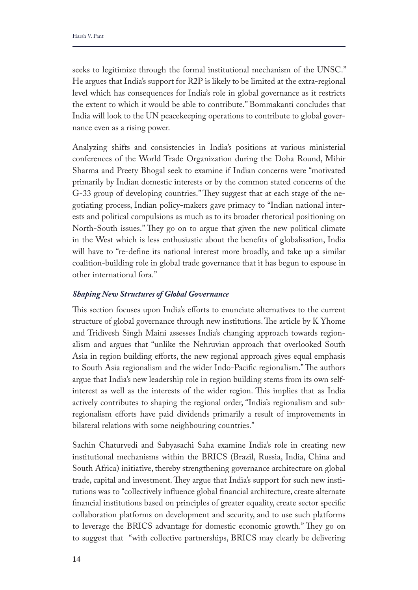seeks to legitimize through the formal institutional mechanism of the UNSC." He argues that India's support for R2P is likely to be limited at the extra-regional level which has consequences for India's role in global governance as it restricts the extent to which it would be able to contribute." Bommakanti concludes that India will look to the UN peacekeeping operations to contribute to global governance even as a rising power.

Analyzing shifts and consistencies in India's positions at various ministerial conferences of the World Trade Organization during the Doha Round, Mihir Sharma and Preety Bhogal seek to examine if Indian concerns were "motivated primarily by Indian domestic interests or by the common stated concerns of the G-33 group of developing countries." They suggest that at each stage of the negotiating process, Indian policy-makers gave primacy to "Indian national interests and political compulsions as much as to its broader rhetorical positioning on North-South issues." They go on to argue that given the new political climate in the West which is less enthusiastic about the benefts of globalisation, India will have to "re-defne its national interest more broadly, and take up a similar coalition-building role in global trade governance that it has begun to espouse in other international fora."

# *Shaping New Structures of Global Governance*

This section focuses upon India's efforts to enunciate alternatives to the current structure of global governance through new institutions. The article by K Yhome and Tridivesh Singh Maini assesses India's changing approach towards regionalism and argues that "unlike the Nehruvian approach that overlooked South Asia in region building efforts, the new regional approach gives equal emphasis to South Asia regionalism and the wider Indo-Pacific regionalism." The authors argue that India's new leadership role in region building stems from its own selfinterest as well as the interests of the wider region. This implies that as India actively contributes to shaping the regional order, "India's regionalism and subregionalism efforts have paid dividends primarily a result of improvements in bilateral relations with some neighbouring countries."

Sachin Chaturvedi and Sabyasachi Saha examine India's role in creating new institutional mechanisms within the BRICS (Brazil, Russia, India, China and South Africa) initiative, thereby strengthening governance architecture on global trade, capital and investment. They argue that India's support for such new institutions was to "collectively infuence global fnancial architecture, create alternate fnancial institutions based on principles of greater equality, create sector specifc collaboration platforms on development and security, and to use such platforms to leverage the BRICS advantage for domestic economic growth." They go on to suggest that "with collective partnerships, BRICS may clearly be delivering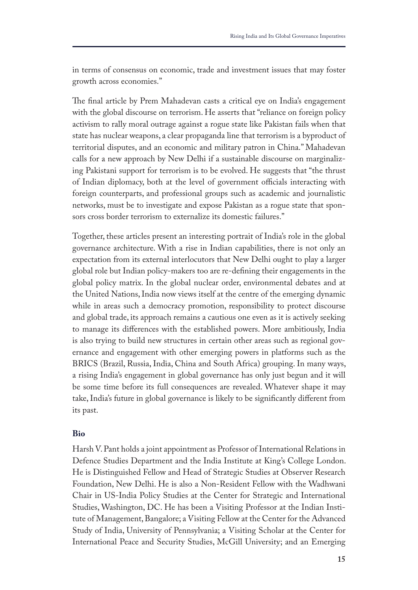in terms of consensus on economic, trade and investment issues that may foster growth across economies."

The final article by Prem Mahadevan casts a critical eye on India's engagement with the global discourse on terrorism. He asserts that "reliance on foreign policy activism to rally moral outrage against a rogue state like Pakistan fails when that state has nuclear weapons, a clear propaganda line that terrorism is a byproduct of territorial disputes, and an economic and military patron in China." Mahadevan calls for a new approach by New Delhi if a sustainable discourse on marginalizing Pakistani support for terrorism is to be evolved. He suggests that "the thrust of Indian diplomacy, both at the level of government officials interacting with foreign counterparts, and professional groups such as academic and journalistic networks, must be to investigate and expose Pakistan as a rogue state that sponsors cross border terrorism to externalize its domestic failures."

Together, these articles present an interesting portrait of India's role in the global governance architecture. With a rise in Indian capabilities, there is not only an expectation from its external interlocutors that New Delhi ought to play a larger global role but Indian policy-makers too are re-defning their engagements in the global policy matrix. In the global nuclear order, environmental debates and at the United Nations, India now views itself at the centre of the emerging dynamic while in areas such a democracy promotion, responsibility to protect discourse and global trade, its approach remains a cautious one even as it is actively seeking to manage its diferences with the established powers. More ambitiously, India is also trying to build new structures in certain other areas such as regional governance and engagement with other emerging powers in platforms such as the BRICS (Brazil, Russia, India, China and South Africa) grouping. In many ways, a rising India's engagement in global governance has only just begun and it will be some time before its full consequences are revealed. Whatever shape it may take, India's future in global governance is likely to be signifcantly diferent from its past.

#### **Bio**

Harsh V. Pant holds a joint appointment as Professor of International Relations in Defence Studies Department and the India Institute at King's College London. He is Distinguished Fellow and Head of Strategic Studies at Observer Research Foundation, New Delhi. He is also a Non-Resident Fellow with the Wadhwani Chair in US-India Policy Studies at the Center for Strategic and International Studies, Washington, DC. He has been a Visiting Professor at the Indian Institute of Management, Bangalore; a Visiting Fellow at the Center for the Advanced Study of India, University of Pennsylvania; a Visiting Scholar at the Center for International Peace and Security Studies, McGill University; and an Emerging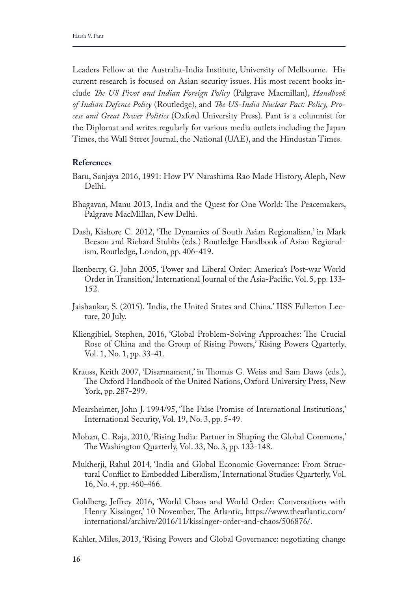Leaders Fellow at the Australia-India Institute, University of Melbourne. His current research is focused on Asian security issues. His most recent books include *Te US Pivot and Indian Foreign Policy* (Palgrave Macmillan), *Handbook of Indian Defence Policy* (Routledge), and *Te US-India Nuclear Pact: Policy, Process and Great Power Politics* (Oxford University Press). Pant is a columnist for the Diplomat and writes regularly for various media outlets including the Japan Times, the Wall Street Journal, the National (UAE), and the Hindustan Times.

#### **References**

- Baru, Sanjaya 2016, 1991: How PV Narashima Rao Made History, Aleph, New Delhi.
- Bhagavan, Manu 2013, India and the Quest for One World: The Peacemakers, Palgrave MacMillan, New Delhi.
- Dash, Kishore C. 2012, 'The Dynamics of South Asian Regionalism,' in Mark Beeson and Richard Stubbs (eds.) Routledge Handbook of Asian Regionalism, Routledge, London, pp. 406-419.
- Ikenberry, G. John 2005, 'Power and Liberal Order: America's Post-war World Order in Transition,' International Journal of the Asia-Pacifc, Vol. 5, pp. 133- 152.
- Jaishankar, S. (2015). 'India, the United States and China.' IISS Fullerton Lecture, 20 July.
- Kliengibiel, Stephen, 2016, 'Global Problem-Solving Approaches: The Crucial Rose of China and the Group of Rising Powers,' Rising Powers Quarterly, Vol. 1, No. 1, pp. 33-41.
- Krauss, Keith 2007, 'Disarmament,' in Thomas G. Weiss and Sam Daws (eds.), The Oxford Handbook of the United Nations, Oxford University Press, New York, pp. 287-299.
- Mearsheimer, John J. 1994/95, 'The False Promise of International Institutions,' International Security, Vol. 19, No. 3, pp. 5-49.
- Mohan, C. Raja, 2010, 'Rising India: Partner in Shaping the Global Commons,' The Washington Quarterly, Vol. 33, No. 3, pp. 133-148.
- Mukherji, Rahul 2014, 'India and Global Economic Governance: From Structural Confict to Embedded Liberalism,' International Studies Quarterly, Vol. 16, No. 4, pp. 460-466.
- Goldberg, Jefrey 2016, 'World Chaos and World Order: Conversations with Henry Kissinger,' 10 November, The Atlantic, https://www.theatlantic.com/ international/archive/2016/11/kissinger-order-and-chaos/506876/.

Kahler, Miles, 2013, 'Rising Powers and Global Governance: negotiating change